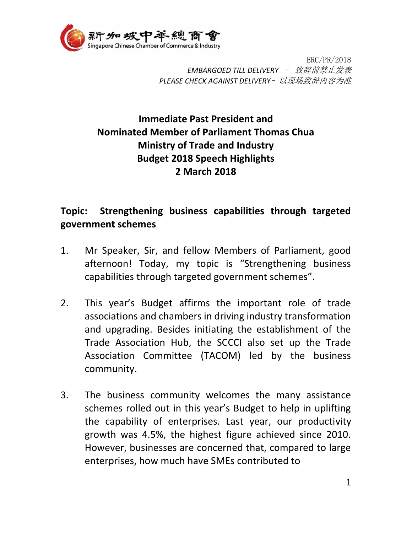

ERC/PR/2018 *EMBARGOED TILL DELIVERY* – 致辞前禁止发表 *PLEASE CHECK AGAINST DELIVERY*- 以现场致辞内容为准

## **Immediate Past President and Nominated Member of Parliament Thomas Chua Ministry of Trade and Industry Budget 2018 Speech Highlights 2 March 2018**

## **Topic: Strengthening business capabilities through targeted government schemes**

- 1. Mr Speaker, Sir, and fellow Members of Parliament, good afternoon! Today, my topic is "Strengthening business capabilities through targeted government schemes".
- 2. This year's Budget affirms the important role of trade associations and chambers in driving industry transformation and upgrading. Besides initiating the establishment of the Trade Association Hub, the SCCCI also set up the Trade Association Committee (TACOM) led by the business community.
- 3. The business community welcomes the many assistance schemes rolled out in this year's Budget to help in uplifting the capability of enterprises. Last year, our productivity growth was 4.5%, the highest figure achieved since 2010. However, businesses are concerned that, compared to large enterprises, how much have SMEs contributed to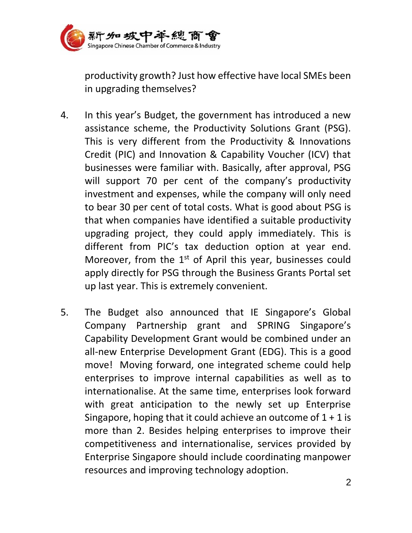

productivity growth? Just how effective have local SMEs been in upgrading themselves?

- 4. In this year's Budget, the government has introduced a new assistance scheme, the Productivity Solutions Grant (PSG). This is very different from the Productivity & Innovations Credit (PIC) and Innovation & Capability Voucher (ICV) that businesses were familiar with. Basically, after approval, PSG will support 70 per cent of the company's productivity investment and expenses, while the company will only need to bear 30 per cent of total costs. What is good about PSG is that when companies have identified a suitable productivity upgrading project, they could apply immediately. This is different from PIC's tax deduction option at year end. Moreover, from the  $1<sup>st</sup>$  of April this year, businesses could apply directly for PSG through the Business Grants Portal set up last year. This is extremely convenient.
- 5. The Budget also announced that IE Singapore's Global Company Partnership grant and SPRING Singapore's Capability Development Grant would be combined under an all-new Enterprise Development Grant (EDG). This is a good move! Moving forward, one integrated scheme could help enterprises to improve internal capabilities as well as to internationalise. At the same time, enterprises look forward with great anticipation to the newly set up Enterprise Singapore, hoping that it could achieve an outcome of  $1 + 1$  is more than 2. Besides helping enterprises to improve their competitiveness and internationalise, services provided by Enterprise Singapore should include coordinating manpower resources and improving technology adoption.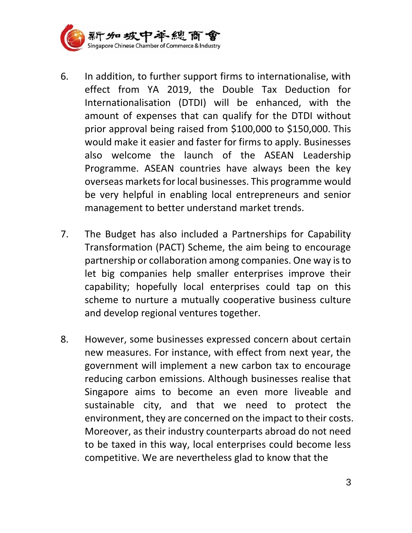

- 6. In addition, to further support firms to internationalise, with effect from YA 2019, the Double Tax Deduction for Internationalisation (DTDI) will be enhanced, with the amount of expenses that can qualify for the DTDI without prior approval being raised from \$100,000 to \$150,000. This would make it easier and faster for firms to apply. Businesses also welcome the launch of the ASEAN Leadership Programme. ASEAN countries have always been the key overseas markets for local businesses. This programme would be very helpful in enabling local entrepreneurs and senior management to better understand market trends.
- 7. The Budget has also included a Partnerships for Capability Transformation (PACT) Scheme, the aim being to encourage partnership or collaboration among companies. One way is to let big companies help smaller enterprises improve their capability; hopefully local enterprises could tap on this scheme to nurture a mutually cooperative business culture and develop regional ventures together.
- 8. However, some businesses expressed concern about certain new measures. For instance, with effect from next year, the government will implement a new carbon tax to encourage reducing carbon emissions. Although businesses realise that Singapore aims to become an even more liveable and sustainable city, and that we need to protect the environment, they are concerned on the impact to their costs. Moreover, as their industry counterparts abroad do not need to be taxed in this way, local enterprises could become less competitive. We are nevertheless glad to know that the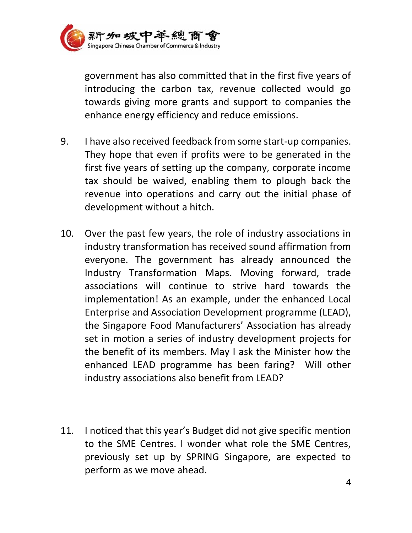

government has also committed that in the first five years of introducing the carbon tax, revenue collected would go towards giving more grants and support to companies the enhance energy efficiency and reduce emissions.

- 9. I have also received feedback from some start-up companies. They hope that even if profits were to be generated in the first five years of setting up the company, corporate income tax should be waived, enabling them to plough back the revenue into operations and carry out the initial phase of development without a hitch.
- 10. Over the past few years, the role of industry associations in industry transformation has received sound affirmation from everyone. The government has already announced the Industry Transformation Maps. Moving forward, trade associations will continue to strive hard towards the implementation! As an example, under the enhanced Local Enterprise and Association Development programme (LEAD), the Singapore Food Manufacturers' Association has already set in motion a series of industry development projects for the benefit of its members. May I ask the Minister how the enhanced LEAD programme has been faring? Will other industry associations also benefit from LEAD?
- 11. I noticed that this year's Budget did not give specific mention to the SME Centres. I wonder what role the SME Centres, previously set up by SPRING Singapore, are expected to perform as we move ahead.